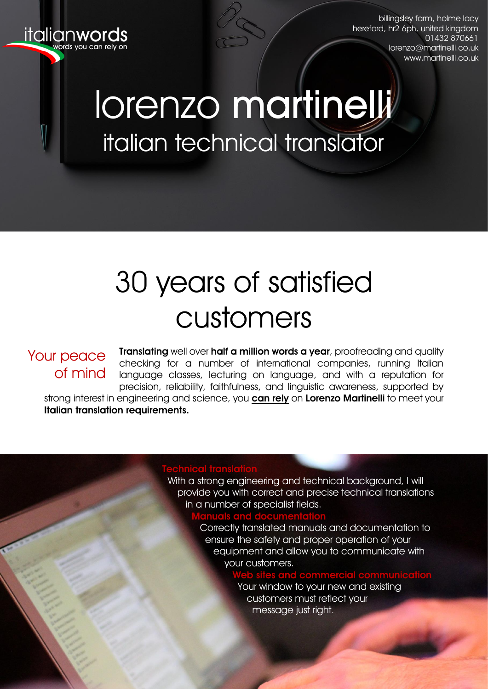

billingsley farm, holme lacy hereford, hr2 6ph, united kingdom 01432 870661 [lorenzo@martinelli.co.uk](mailto:webinfo@martinelli.co.uk?subject=Further%20to%20your%20CV) [www.martinelli.co.uk](http://www.martinelli.co.uk/)

# lorenzo martinelli italian technical translator

language tutur

# 30 years of satisfied customers

### Your peace of mind

Translating well over half a million words a year, proofreading and quality checking for a number of international companies, running Italian language classes, lecturing on language, and with a reputation for precision, reliability, faithfulness, and linguistic awareness, supported by strong interest in engineering and science, you **can rely** on Lorenzo Martinelli to meet your Italian translation requirements.

#### Technical translation

 With a strong engineering and technical background, I will provide you with correct and precise technical translations in a number of specialist fields.

#### Manuals and documentation

 Correctly translated manuals and documentation to ensure the safety and proper operation of your equipment and allow you to communicate with your customers.

#### Web sites and commercial communication

 Your window to your new and existing customers must reflect your message just right.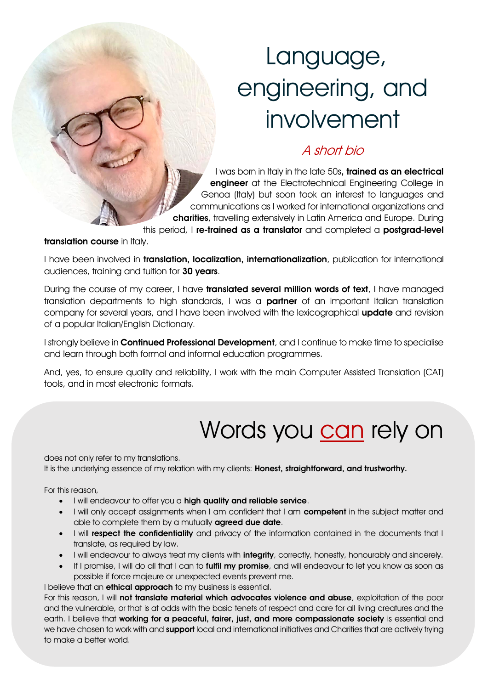# Language, engineering, and involvement

### A short bio

I was born in Italy in the late 50s, trained as an electrical engineer at the Electrotechnical Engineering College in Genoa (Italy) but soon took an interest to languages and communications as I worked for international organizations and charities, travelling extensively in Latin America and Europe. During

this period, I re-trained as a translator and completed a postgrad-level

translation course in Italy.

I have been involved in **translation, localization, internationalization**, publication for international audiences, training and tuition for 30 years.

During the course of my career, I have **translated several million words of text**, I have managed translation departments to high standards, I was a **partner** of an important Italian translation company for several years, and I have been involved with the lexicographical update and revision of a popular Italian/English Dictionary.

I strongly believe in **Continued Professional Development**, and I continue to make time to specialise and learn through both formal and informal education programmes.

And, yes, to ensure quality and reliability, I work with the main Computer Assisted Translation (CAT) tools, and in most electronic formats.

## Words you can rely on

does not only refer to my translations.

It is the underlying essence of my relation with my clients: Honest, straightforward, and trustworthy.

For this reason,

- I will endeavour to offer you a high quality and reliable service.
- I will only accept assignments when I am confident that I am competent in the subject matter and able to complete them by a mutually **agreed due date**.
- I will respect the confidentiality and privacy of the information contained in the documents that I translate, as required by law.
- I will endeavour to always treat my clients with integrity, correctly, honestly, honourably and sincerely.
- If I promise, I will do all that I can to fulfil my promise, and will endeavour to let you know as soon as possible if force majeure or unexpected events prevent me.

I believe that an **ethical approach** to my business is essential.

For this reason, I will not translate material which advocates violence and abuse, exploitation of the poor and the vulnerable, or that is at odds with the basic tenets of respect and care for all living creatures and the earth. I believe that working for a peaceful, fairer, just, and more compassionate society is essential and we have chosen to work with and support local and international initiatives and Charities that are actively trying to make a better world.